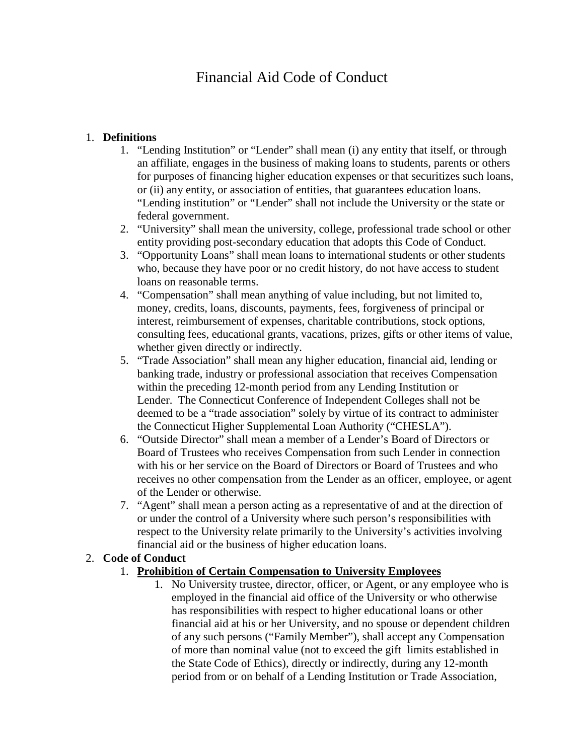# Financial Aid Code of Conduct

# 1. **Definitions**

- 1. "Lending Institution" or "Lender" shall mean (i) any entity that itself, or through an affiliate, engages in the business of making loans to students, parents or others for purposes of financing higher education expenses or that securitizes such loans, or (ii) any entity, or association of entities, that guarantees education loans. "Lending institution" or "Lender" shall not include the University or the state or federal government.
- 2. "University" shall mean the university, college, professional trade school or other entity providing post-secondary education that adopts this Code of Conduct.
- 3. "Opportunity Loans" shall mean loans to international students or other students who, because they have poor or no credit history, do not have access to student loans on reasonable terms.
- 4. "Compensation" shall mean anything of value including, but not limited to, money, credits, loans, discounts, payments, fees, forgiveness of principal or interest, reimbursement of expenses, charitable contributions, stock options, consulting fees, educational grants, vacations, prizes, gifts or other items of value, whether given directly or indirectly.
- 5. "Trade Association" shall mean any higher education, financial aid, lending or banking trade, industry or professional association that receives Compensation within the preceding 12-month period from any Lending Institution or Lender. The Connecticut Conference of Independent Colleges shall not be deemed to be a "trade association" solely by virtue of its contract to administer the Connecticut Higher Supplemental Loan Authority ("CHESLA").
- 6. "Outside Director" shall mean a member of a Lender's Board of Directors or Board of Trustees who receives Compensation from such Lender in connection with his or her service on the Board of Directors or Board of Trustees and who receives no other compensation from the Lender as an officer, employee, or agent of the Lender or otherwise.
- 7. "Agent" shall mean a person acting as a representative of and at the direction of or under the control of a University where such person's responsibilities with respect to the University relate primarily to the University's activities involving financial aid or the business of higher education loans.

# 2. **Code of Conduct**

# 1. **Prohibition of Certain Compensation to University Employees**

1. No University trustee, director, officer, or Agent, or any employee who is employed in the financial aid office of the University or who otherwise has responsibilities with respect to higher educational loans or other financial aid at his or her University, and no spouse or dependent children of any such persons ("Family Member"), shall accept any Compensation of more than nominal value (not to exceed the gift limits established in the State Code of Ethics), directly or indirectly, during any 12-month period from or on behalf of a Lending Institution or Trade Association,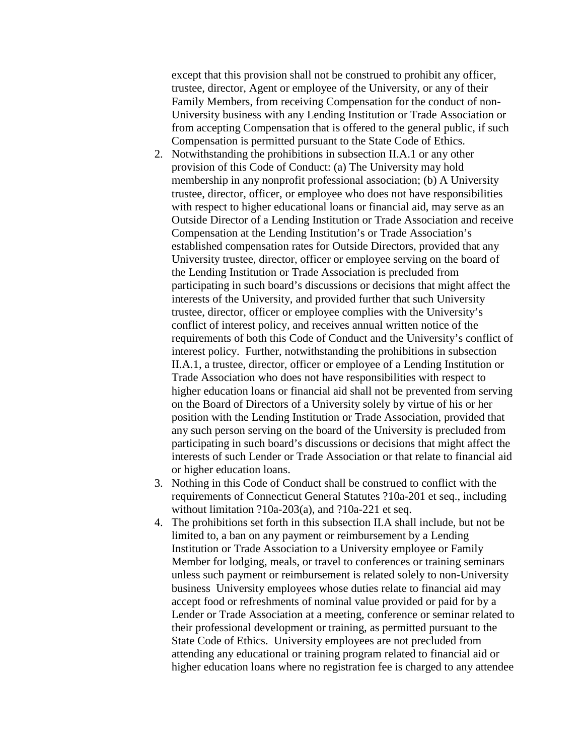except that this provision shall not be construed to prohibit any officer, trustee, director, Agent or employee of the University, or any of their Family Members, from receiving Compensation for the conduct of non-University business with any Lending Institution or Trade Association or from accepting Compensation that is offered to the general public, if such Compensation is permitted pursuant to the State Code of Ethics.

- 2. Notwithstanding the prohibitions in subsection II.A.1 or any other provision of this Code of Conduct: (a) The University may hold membership in any nonprofit professional association; (b) A University trustee, director, officer, or employee who does not have responsibilities with respect to higher educational loans or financial aid, may serve as an Outside Director of a Lending Institution or Trade Association and receive Compensation at the Lending Institution's or Trade Association's established compensation rates for Outside Directors, provided that any University trustee, director, officer or employee serving on the board of the Lending Institution or Trade Association is precluded from participating in such board's discussions or decisions that might affect the interests of the University, and provided further that such University trustee, director, officer or employee complies with the University's conflict of interest policy, and receives annual written notice of the requirements of both this Code of Conduct and the University's conflict of interest policy. Further, notwithstanding the prohibitions in subsection II.A.1, a trustee, director, officer or employee of a Lending Institution or Trade Association who does not have responsibilities with respect to higher education loans or financial aid shall not be prevented from serving on the Board of Directors of a University solely by virtue of his or her position with the Lending Institution or Trade Association, provided that any such person serving on the board of the University is precluded from participating in such board's discussions or decisions that might affect the interests of such Lender or Trade Association or that relate to financial aid or higher education loans.
- 3. Nothing in this Code of Conduct shall be construed to conflict with the requirements of Connecticut General Statutes ?10a-201 et seq., including without limitation ?10a-203(a), and ?10a-221 et seq.
- 4. The prohibitions set forth in this subsection II.A shall include, but not be limited to, a ban on any payment or reimbursement by a Lending Institution or Trade Association to a University employee or Family Member for lodging, meals, or travel to conferences or training seminars unless such payment or reimbursement is related solely to non-University business University employees whose duties relate to financial aid may accept food or refreshments of nominal value provided or paid for by a Lender or Trade Association at a meeting, conference or seminar related to their professional development or training, as permitted pursuant to the State Code of Ethics. University employees are not precluded from attending any educational or training program related to financial aid or higher education loans where no registration fee is charged to any attendee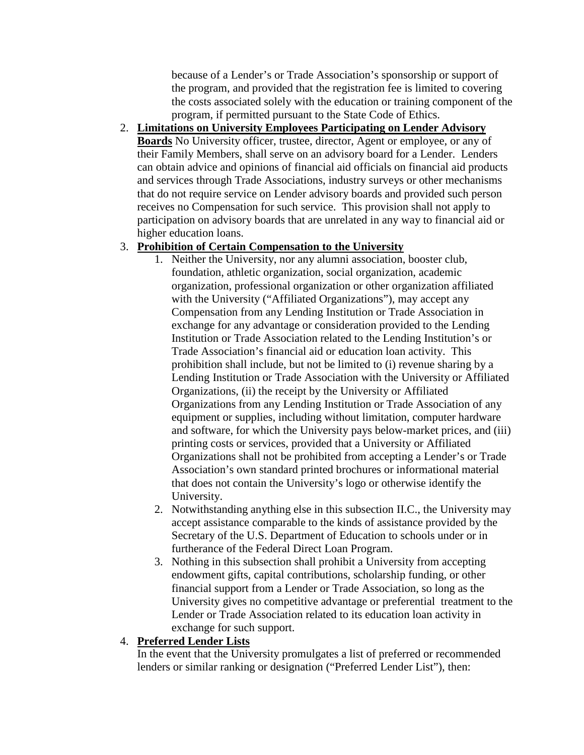because of a Lender's or Trade Association's sponsorship or support of the program, and provided that the registration fee is limited to covering the costs associated solely with the education or training component of the program, if permitted pursuant to the State Code of Ethics.

# 2. **Limitations on University Employees Participating on Lender Advisory**

**Boards** No University officer, trustee, director, Agent or employee, or any of their Family Members, shall serve on an advisory board for a Lender. Lenders can obtain advice and opinions of financial aid officials on financial aid products and services through Trade Associations, industry surveys or other mechanisms that do not require service on Lender advisory boards and provided such person receives no Compensation for such service. This provision shall not apply to participation on advisory boards that are unrelated in any way to financial aid or higher education loans.

# 3. **Prohibition of Certain Compensation to the University**

- 1. Neither the University, nor any alumni association, booster club, foundation, athletic organization, social organization, academic organization, professional organization or other organization affiliated with the University ("Affiliated Organizations"), may accept any Compensation from any Lending Institution or Trade Association in exchange for any advantage or consideration provided to the Lending Institution or Trade Association related to the Lending Institution's or Trade Association's financial aid or education loan activity. This prohibition shall include, but not be limited to (i) revenue sharing by a Lending Institution or Trade Association with the University or Affiliated Organizations, (ii) the receipt by the University or Affiliated Organizations from any Lending Institution or Trade Association of any equipment or supplies, including without limitation, computer hardware and software, for which the University pays below-market prices, and (iii) printing costs or services, provided that a University or Affiliated Organizations shall not be prohibited from accepting a Lender's or Trade Association's own standard printed brochures or informational material that does not contain the University's logo or otherwise identify the University.
- 2. Notwithstanding anything else in this subsection II.C., the University may accept assistance comparable to the kinds of assistance provided by the Secretary of the U.S. Department of Education to schools under or in furtherance of the Federal Direct Loan Program.
- 3. Nothing in this subsection shall prohibit a University from accepting endowment gifts, capital contributions, scholarship funding, or other financial support from a Lender or Trade Association, so long as the University gives no competitive advantage or preferential treatment to the Lender or Trade Association related to its education loan activity in exchange for such support.

# 4. **Preferred Lender Lists**

In the event that the University promulgates a list of preferred or recommended lenders or similar ranking or designation ("Preferred Lender List"), then: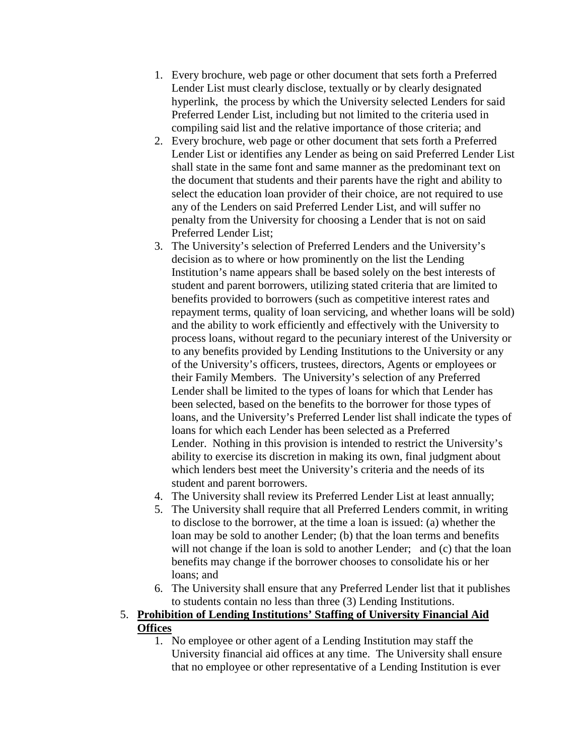- 1. Every brochure, web page or other document that sets forth a Preferred Lender List must clearly disclose, textually or by clearly designated hyperlink, the process by which the University selected Lenders for said Preferred Lender List, including but not limited to the criteria used in compiling said list and the relative importance of those criteria; and
- 2. Every brochure, web page or other document that sets forth a Preferred Lender List or identifies any Lender as being on said Preferred Lender List shall state in the same font and same manner as the predominant text on the document that students and their parents have the right and ability to select the education loan provider of their choice, are not required to use any of the Lenders on said Preferred Lender List, and will suffer no penalty from the University for choosing a Lender that is not on said Preferred Lender List;
- 3. The University's selection of Preferred Lenders and the University's decision as to where or how prominently on the list the Lending Institution's name appears shall be based solely on the best interests of student and parent borrowers, utilizing stated criteria that are limited to benefits provided to borrowers (such as competitive interest rates and repayment terms, quality of loan servicing, and whether loans will be sold) and the ability to work efficiently and effectively with the University to process loans, without regard to the pecuniary interest of the University or to any benefits provided by Lending Institutions to the University or any of the University's officers, trustees, directors, Agents or employees or their Family Members. The University's selection of any Preferred Lender shall be limited to the types of loans for which that Lender has been selected, based on the benefits to the borrower for those types of loans, and the University's Preferred Lender list shall indicate the types of loans for which each Lender has been selected as a Preferred Lender. Nothing in this provision is intended to restrict the University's ability to exercise its discretion in making its own, final judgment about which lenders best meet the University's criteria and the needs of its student and parent borrowers.
- 4. The University shall review its Preferred Lender List at least annually;
- 5. The University shall require that all Preferred Lenders commit, in writing to disclose to the borrower, at the time a loan is issued: (a) whether the loan may be sold to another Lender; (b) that the loan terms and benefits will not change if the loan is sold to another Lender; and (c) that the loan benefits may change if the borrower chooses to consolidate his or her loans; and
- 6. The University shall ensure that any Preferred Lender list that it publishes to students contain no less than three (3) Lending Institutions.
- 5. **Prohibition of Lending Institutions' Staffing of University Financial Aid Offices**
	- 1. No employee or other agent of a Lending Institution may staff the University financial aid offices at any time. The University shall ensure that no employee or other representative of a Lending Institution is ever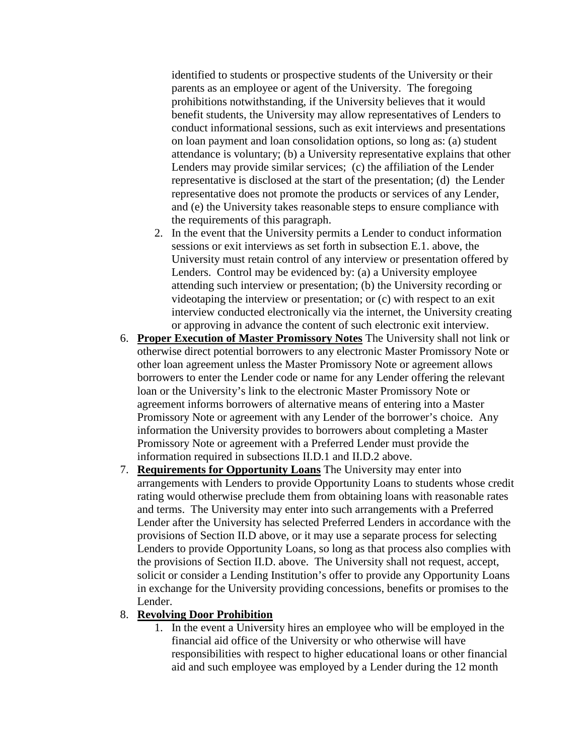identified to students or prospective students of the University or their parents as an employee or agent of the University. The foregoing prohibitions notwithstanding, if the University believes that it would benefit students, the University may allow representatives of Lenders to conduct informational sessions, such as exit interviews and presentations on loan payment and loan consolidation options, so long as: (a) student attendance is voluntary; (b) a University representative explains that other Lenders may provide similar services; (c) the affiliation of the Lender representative is disclosed at the start of the presentation; (d) the Lender representative does not promote the products or services of any Lender, and (e) the University takes reasonable steps to ensure compliance with the requirements of this paragraph.

- 2. In the event that the University permits a Lender to conduct information sessions or exit interviews as set forth in subsection E.1. above, the University must retain control of any interview or presentation offered by Lenders. Control may be evidenced by: (a) a University employee attending such interview or presentation; (b) the University recording or videotaping the interview or presentation; or (c) with respect to an exit interview conducted electronically via the internet, the University creating or approving in advance the content of such electronic exit interview.
- 6. **Proper Execution of Master Promissory Notes** The University shall not link or otherwise direct potential borrowers to any electronic Master Promissory Note or other loan agreement unless the Master Promissory Note or agreement allows borrowers to enter the Lender code or name for any Lender offering the relevant loan or the University's link to the electronic Master Promissory Note or agreement informs borrowers of alternative means of entering into a Master Promissory Note or agreement with any Lender of the borrower's choice. Any information the University provides to borrowers about completing a Master Promissory Note or agreement with a Preferred Lender must provide the information required in subsections II.D.1 and II.D.2 above.
- 7. **Requirements for Opportunity Loans** The University may enter into arrangements with Lenders to provide Opportunity Loans to students whose credit rating would otherwise preclude them from obtaining loans with reasonable rates and terms. The University may enter into such arrangements with a Preferred Lender after the University has selected Preferred Lenders in accordance with the provisions of Section II.D above, or it may use a separate process for selecting Lenders to provide Opportunity Loans, so long as that process also complies with the provisions of Section II.D. above. The University shall not request, accept, solicit or consider a Lending Institution's offer to provide any Opportunity Loans in exchange for the University providing concessions, benefits or promises to the Lender.

#### 8. **Revolving Door Prohibition**

1. In the event a University hires an employee who will be employed in the financial aid office of the University or who otherwise will have responsibilities with respect to higher educational loans or other financial aid and such employee was employed by a Lender during the 12 month